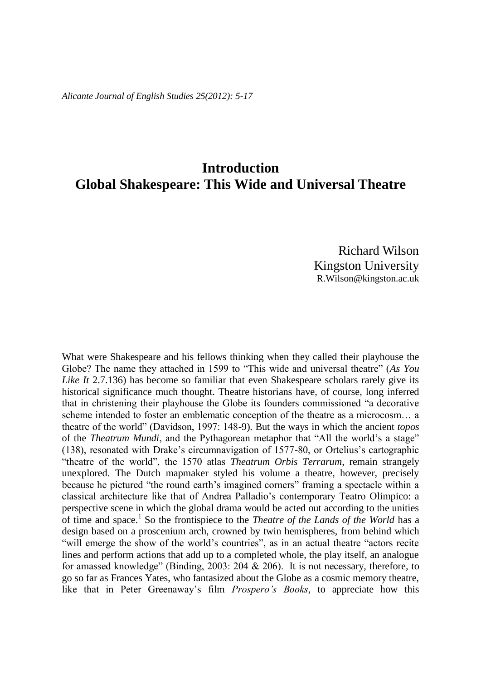*Alicante Journal of English Studies 25(2012): 5-17*

## **Introduction Global Shakespeare: This Wide and Universal Theatre**

Richard Wilson Kingston University R.Wilson@kingston.ac.uk

What were Shakespeare and his fellows thinking when they called their playhouse the Globe? The name they attached in 1599 to "This wide and universal theatre" (*As You Like It* 2.7.136) has become so familiar that even Shakespeare scholars rarely give its historical significance much thought. Theatre historians have, of course, long inferred that in christening their playhouse the Globe its founders commissioned "a decorative scheme intended to foster an emblematic conception of the theatre as a microcosm… a theatre of the world" (Davidson, 1997: 148-9). But the ways in which the ancient *topos* of the *Theatrum Mundi*, and the Pythagorean metaphor that "All the world's a stage" (138), resonated with Drake's circumnavigation of 1577-80, or Ortelius's cartographic "theatre of the world", the 1570 atlas *Theatrum Orbis Terrarum*, remain strangely unexplored. The Dutch mapmaker styled his volume a theatre, however, precisely because he pictured "the round earth's imagined corners" framing a spectacle within a classical architecture like that of Andrea Palladio's contemporary Teatro Olimpico: a perspective scene in which the global drama would be acted out according to the unities of time and space.<sup>1</sup> So the frontispiece to the *Theatre of the Lands of the World* has a design based on a proscenium arch, crowned by twin hemispheres, from behind which "will emerge the show of the world's countries", as in an actual theatre "actors recite lines and perform actions that add up to a completed whole, the play itself, an analogue for amassed knowledge" (Binding, 2003: 204 & 206). It is not necessary, therefore, to go so far as Frances Yates, who fantasized about the Globe as a cosmic memory theatre, like that in Peter Greenaway's film *Prospero's Books*, to appreciate how this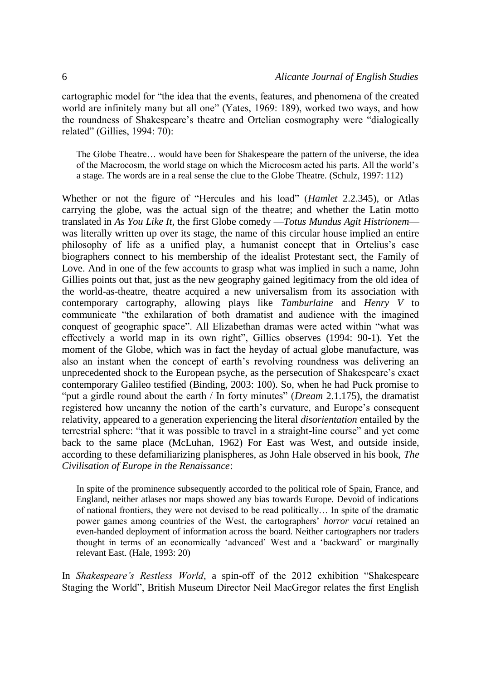cartographic model for "the idea that the events, features, and phenomena of the created world are infinitely many but all one" (Yates, 1969: 189), worked two ways, and how the roundness of Shakespeare's theatre and Ortelian cosmography were "dialogically related" (Gillies, 1994: 70):

The Globe Theatre… would have been for Shakespeare the pattern of the universe, the idea of the Macrocosm, the world stage on which the Microcosm acted his parts. All the world's a stage. The words are in a real sense the clue to the Globe Theatre. (Schulz, 1997: 112)

Whether or not the figure of "Hercules and his load" (*Hamlet* 2.2.345), or Atlas carrying the globe, was the actual sign of the theatre; and whether the Latin motto translated in *As You Like It*, the first Globe comedy —*Totus Mundus Agit Histrionem* was literally written up over its stage, the name of this circular house implied an entire philosophy of life as a unified play, a humanist concept that in Ortelius's case biographers connect to his membership of the idealist Protestant sect, the Family of Love. And in one of the few accounts to grasp what was implied in such a name, John Gillies points out that, just as the new geography gained legitimacy from the old idea of the world-as-theatre, theatre acquired a new universalism from its association with contemporary cartography, allowing plays like *Tamburlaine* and *Henry V* to communicate "the exhilaration of both dramatist and audience with the imagined conquest of geographic space". All Elizabethan dramas were acted within "what was effectively a world map in its own right", Gillies observes (1994: 90-1). Yet the moment of the Globe, which was in fact the heyday of actual globe manufacture, was also an instant when the concept of earth's revolving roundness was delivering an unprecedented shock to the European psyche, as the persecution of Shakespeare's exact contemporary Galileo testified (Binding, 2003: 100). So, when he had Puck promise to "put a girdle round about the earth / In forty minutes" (*Dream* 2.1.175), the dramatist registered how uncanny the notion of the earth's curvature, and Europe's consequent relativity, appeared to a generation experiencing the literal *disorientation* entailed by the terrestrial sphere: "that it was possible to travel in a straight-line course" and yet come back to the same place (McLuhan, 1962) For East was West, and outside inside, according to these defamiliarizing planispheres, as John Hale observed in his book, *The Civilisation of Europe in the Renaissance*:

In spite of the prominence subsequently accorded to the political role of Spain, France, and England, neither atlases nor maps showed any bias towards Europe. Devoid of indications of national frontiers, they were not devised to be read politically… In spite of the dramatic power games among countries of the West, the cartographers' *horror vacui* retained an even-handed deployment of information across the board. Neither cartographers nor traders thought in terms of an economically 'advanced' West and a 'backward' or marginally relevant East. (Hale, 1993: 20)

In *Shakespeare's Restless World*, a spin-off of the 2012 exhibition "Shakespeare Staging the World", British Museum Director Neil MacGregor relates the first English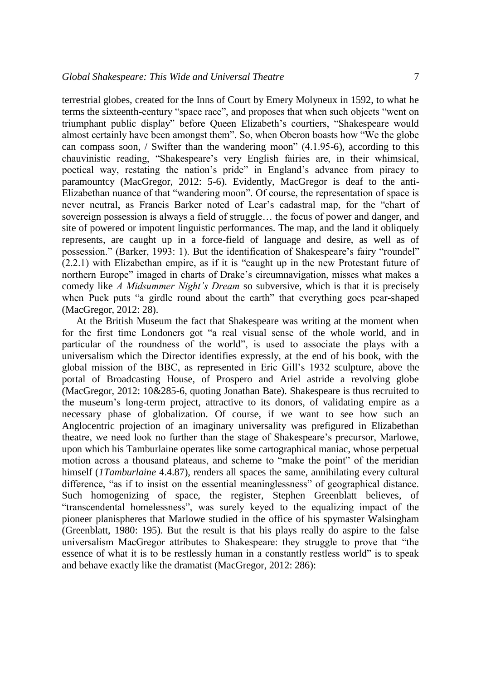terrestrial globes, created for the Inns of Court by Emery Molyneux in 1592, to what he terms the sixteenth-century "space race", and proposes that when such objects "went on triumphant public display" before Queen Elizabeth's courtiers, "Shakespeare would almost certainly have been amongst them". So, when Oberon boasts how "We the globe can compass soon,  $\prime$  Swifter than the wandering moon" (4.1.95-6), according to this chauvinistic reading, "Shakespeare's very English fairies are, in their whimsical, poetical way, restating the nation's pride" in England's advance from piracy to paramountcy (MacGregor, 2012: 5-6). Evidently, MacGregor is deaf to the anti-Elizabethan nuance of that "wandering moon". Of course, the representation of space is never neutral, as Francis Barker noted of Lear's cadastral map, for the "chart of sovereign possession is always a field of struggle… the focus of power and danger, and site of powered or impotent linguistic performances. The map, and the land it obliquely represents, are caught up in a force-field of language and desire, as well as of possession." (Barker, 1993: 1). But the identification of Shakespeare's fairy "roundel" (2.2.1) with Elizabethan empire, as if it is "caught up in the new Protestant future of northern Europe" imaged in charts of Drake's circumnavigation, misses what makes a comedy like *A Midsummer Night's Dream* so subversive, which is that it is precisely when Puck puts "a girdle round about the earth" that everything goes pear-shaped (MacGregor, 2012: 28).

At the British Museum the fact that Shakespeare was writing at the moment when for the first time Londoners got "a real visual sense of the whole world, and in particular of the roundness of the world", is used to associate the plays with a universalism which the Director identifies expressly, at the end of his book, with the global mission of the BBC, as represented in Eric Gill's 1932 sculpture, above the portal of Broadcasting House, of Prospero and Ariel astride a revolving globe (MacGregor, 2012: 10&285-6, quoting Jonathan Bate). Shakespeare is thus recruited to the museum's long-term project, attractive to its donors, of validating empire as a necessary phase of globalization. Of course, if we want to see how such an Anglocentric projection of an imaginary universality was prefigured in Elizabethan theatre, we need look no further than the stage of Shakespeare's precursor, Marlowe, upon which his Tamburlaine operates like some cartographical maniac, whose perpetual motion across a thousand plateaus, and scheme to "make the point" of the meridian himself (*1Tamburlaine* 4.4.87), renders all spaces the same, annihilating every cultural difference, "as if to insist on the essential meaninglessness" of geographical distance. Such homogenizing of space, the register, Stephen Greenblatt believes, of "transcendental homelessness", was surely keyed to the equalizing impact of the pioneer planispheres that Marlowe studied in the office of his spymaster Walsingham (Greenblatt, 1980: 195). But the result is that his plays really do aspire to the false universalism MacGregor attributes to Shakespeare: they struggle to prove that "the essence of what it is to be restlessly human in a constantly restless world" is to speak and behave exactly like the dramatist (MacGregor, 2012: 286):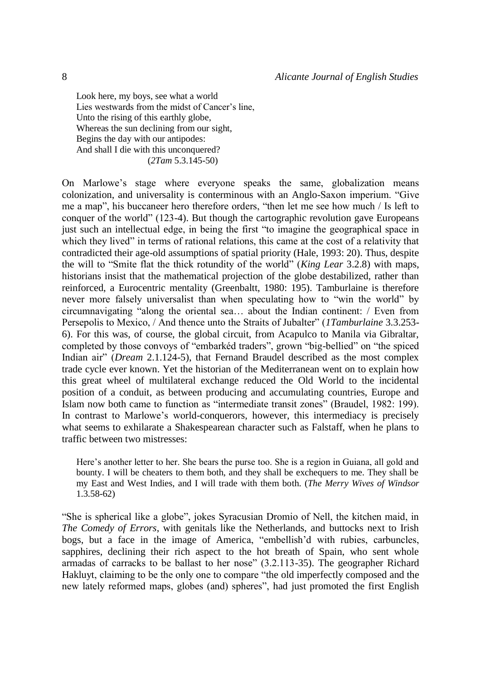Look here, my boys, see what a world Lies westwards from the midst of Cancer's line, Unto the rising of this earthly globe, Whereas the sun declining from our sight, Begins the day with our antipodes: And shall I die with this unconquered? (*2Tam* 5.3.145-50)

On Marlowe's stage where everyone speaks the same, globalization means colonization, and universality is conterminous with an Anglo-Saxon imperium. "Give me a map", his buccaneer hero therefore orders, "then let me see how much / Is left to conquer of the world" (123-4). But though the cartographic revolution gave Europeans just such an intellectual edge, in being the first "to imagine the geographical space in which they lived" in terms of rational relations, this came at the cost of a relativity that contradicted their age-old assumptions of spatial priority (Hale, 1993: 20). Thus, despite the will to "Smite flat the thick rotundity of the world" (*King Lear* 3.2.8) with maps, historians insist that the mathematical projection of the globe destabilized, rather than reinforced, a Eurocentric mentality (Greenbaltt, 1980: 195). Tamburlaine is therefore never more falsely universalist than when speculating how to "win the world" by circumnavigating "along the oriental sea… about the Indian continent: / Even from Persepolis to Mexico, / And thence unto the Straits of Jubalter" (*1Tamburlaine* 3.3.253- 6). For this was, of course, the global circuit, from Acapulco to Manila via Gibraltar, completed by those convoys of "embarkéd traders", grown "big-bellied" on "the spiced Indian air" (*Dream* 2.1.124-5), that Fernand Braudel described as the most complex trade cycle ever known. Yet the historian of the Mediterranean went on to explain how this great wheel of multilateral exchange reduced the Old World to the incidental position of a conduit, as between producing and accumulating countries, Europe and Islam now both came to function as "intermediate transit zones" (Braudel, 1982: 199). In contrast to Marlowe's world-conquerors, however, this intermediacy is precisely what seems to exhilarate a Shakespearean character such as Falstaff, when he plans to traffic between two mistresses:

Here's another letter to her. She bears the purse too. She is a region in Guiana, all gold and bounty. I will be cheaters to them both, and they shall be exchequers to me. They shall be my East and West Indies, and I will trade with them both. (*The Merry Wives of Windsor*  1.3.58-62)

"She is spherical like a globe", jokes Syracusian Dromio of Nell, the kitchen maid, in *The Comedy of Errors*, with genitals like the Netherlands, and buttocks next to Irish bogs, but a face in the image of America, "embellish'd with rubies, carbuncles, sapphires, declining their rich aspect to the hot breath of Spain, who sent whole armadas of carracks to be ballast to her nose" (3.2.113-35). The geographer Richard Hakluyt, claiming to be the only one to compare "the old imperfectly composed and the new lately reformed maps, globes (and) spheres", had just promoted the first English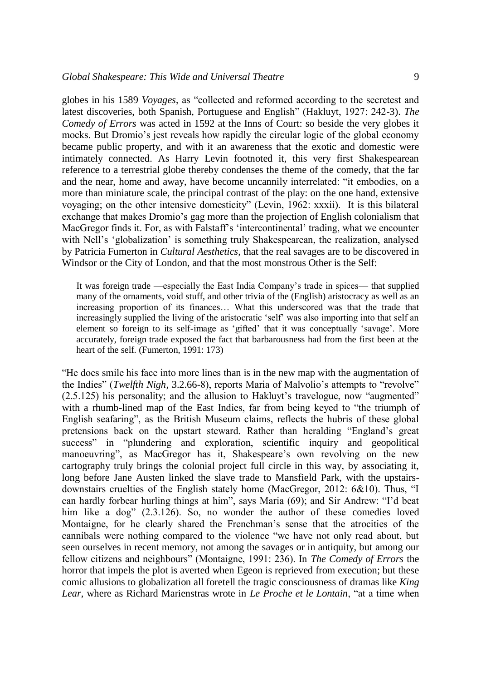globes in his 1589 *Voyages*, as "collected and reformed according to the secretest and latest discoveries, both Spanish, Portuguese and English" (Hakluyt, 1927: 242-3). *The Comedy of Errors* was acted in 1592 at the Inns of Court: so beside the very globes it mocks. But Dromio's jest reveals how rapidly the circular logic of the global economy became public property, and with it an awareness that the exotic and domestic were intimately connected. As Harry Levin footnoted it, this very first Shakespearean reference to a terrestrial globe thereby condenses the theme of the comedy, that the far and the near, home and away, have become uncannily interrelated: "it embodies, on a more than miniature scale, the principal contrast of the play: on the one hand, extensive voyaging; on the other intensive domesticity" (Levin, 1962: xxxii). It is this bilateral exchange that makes Dromio's gag more than the projection of English colonialism that MacGregor finds it. For, as with Falstaff's 'intercontinental' trading, what we encounter with Nell's 'globalization' is something truly Shakespearean, the realization, analysed by Patricia Fumerton in *Cultural Aesthetics*, that the real savages are to be discovered in Windsor or the City of London, and that the most monstrous Other is the Self:

It was foreign trade —especially the East India Company's trade in spices— that supplied many of the ornaments, void stuff, and other trivia of the (English) aristocracy as well as an increasing proportion of its finances… What this underscored was that the trade that increasingly supplied the living of the aristocratic 'self' was also importing into that self an element so foreign to its self-image as 'gifted' that it was conceptually 'savage'. More accurately, foreign trade exposed the fact that barbarousness had from the first been at the heart of the self. (Fumerton, 1991: 173)

"He does smile his face into more lines than is in the new map with the augmentation of the Indies" (*Twelfth Nigh,* 3.2.66-8), reports Maria of Malvolio's attempts to "revolve" (2.5.125) his personality; and the allusion to Hakluyt's travelogue, now "augmented" with a rhumb-lined map of the East Indies, far from being keyed to "the triumph of English seafaring", as the British Museum claims, reflects the hubris of these global pretensions back on the upstart steward. Rather than heralding "England's great success" in "plundering and exploration, scientific inquiry and geopolitical manoeuvring", as MacGregor has it, Shakespeare's own revolving on the new cartography truly brings the colonial project full circle in this way, by associating it, long before Jane Austen linked the slave trade to Mansfield Park, with the upstairsdownstairs cruelties of the English stately home (MacGregor, 2012: 6&10). Thus, "I can hardly forbear hurling things at him", says Maria (69); and Sir Andrew: "I'd beat him like a dog" (2.3.126). So, no wonder the author of these comedies loved Montaigne, for he clearly shared the Frenchman's sense that the atrocities of the cannibals were nothing compared to the violence "we have not only read about, but seen ourselves in recent memory, not among the savages or in antiquity, but among our fellow citizens and neighbours" (Montaigne, 1991: 236). In *The Comedy of Errors* the horror that impels the plot is averted when Egeon is reprieved from execution; but these comic allusions to globalization all foretell the tragic consciousness of dramas like *King Lear*, where as Richard Marienstras wrote in *Le Proche et le Lontain*, "at a time when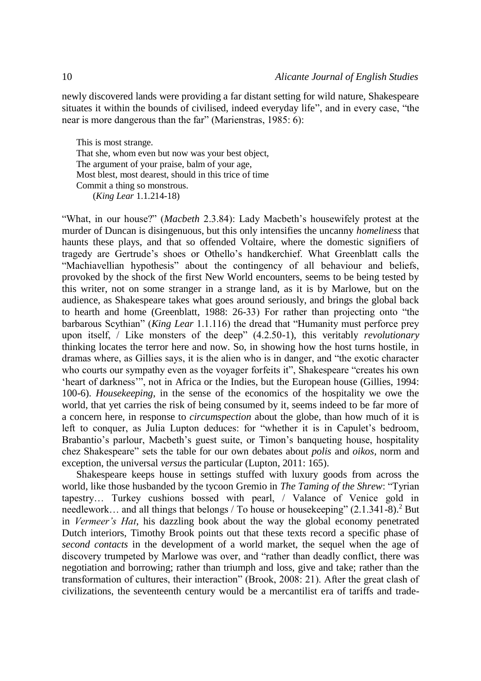newly discovered lands were providing a far distant setting for wild nature, Shakespeare situates it within the bounds of civilised, indeed everyday life", and in every case, "the near is more dangerous than the far" (Marienstras, 1985: 6):

This is most strange. That she, whom even but now was your best object, The argument of your praise, balm of your age, Most blest, most dearest, should in this trice of time Commit a thing so monstrous. (*King Lear* 1.1.214-18)

"What, in our house?" (*Macbeth* 2.3.84): Lady Macbeth's housewifely protest at the murder of Duncan is disingenuous, but this only intensifies the uncanny *homeliness* that haunts these plays, and that so offended Voltaire, where the domestic signifiers of tragedy are Gertrude's shoes or Othello's handkerchief. What Greenblatt calls the "Machiavellian hypothesis" about the contingency of all behaviour and beliefs, provoked by the shock of the first New World encounters, seems to be being tested by this writer, not on some stranger in a strange land, as it is by Marlowe, but on the audience, as Shakespeare takes what goes around seriously, and brings the global back to hearth and home (Greenblatt, 1988: 26-33) For rather than projecting onto "the barbarous Scythian" (*King Lear* 1.1.116) the dread that "Humanity must perforce prey upon itself, / Like monsters of the deep" (4.2.50-1), this veritably *revolutionary* thinking locates the terror here and now. So, in showing how the host turns hostile, in dramas where, as Gillies says, it is the alien who is in danger, and "the exotic character who courts our sympathy even as the voyager forfeits it", Shakespeare "creates his own 'heart of darkness'", not in Africa or the Indies, but the European house (Gillies, 1994: 100-6). *Housekeeping*, in the sense of the economics of the hospitality we owe the world, that yet carries the risk of being consumed by it, seems indeed to be far more of a concern here, in response to *circumspection* about the globe, than how much of it is left to conquer, as Julia Lupton deduces: for "whether it is in Capulet's bedroom, Brabantio's parlour, Macbeth's guest suite, or Timon's banqueting house, hospitality chez Shakespeare" sets the table for our own debates about *polis* and *oikos*, norm and exception, the universal *versus* the particular (Lupton, 2011: 165).

Shakespeare keeps house in settings stuffed with luxury goods from across the world, like those husbanded by the tycoon Gremio in *The Taming of the Shrew*: "Tyrian tapestry… Turkey cushions bossed with pearl, / Valance of Venice gold in needlework... and all things that belongs / To house or house keeping"  $(2.1.341-8)$ <sup>2</sup> But in *Vermeer's Hat*, his dazzling book about the way the global economy penetrated Dutch interiors, Timothy Brook points out that these texts record a specific phase of *second contacts* in the development of a world market, the sequel when the age of discovery trumpeted by Marlowe was over, and "rather than deadly conflict, there was negotiation and borrowing; rather than triumph and loss, give and take; rather than the transformation of cultures, their interaction" (Brook, 2008: 21). After the great clash of civilizations, the seventeenth century would be a mercantilist era of tariffs and trade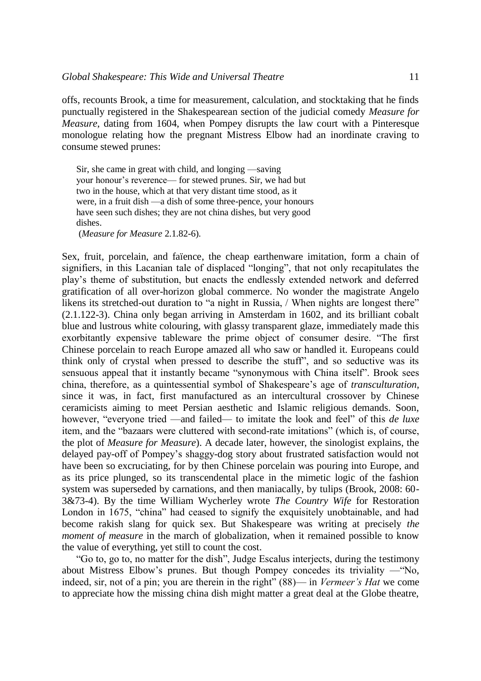offs, recounts Brook, a time for measurement, calculation, and stocktaking that he finds punctually registered in the Shakespearean section of the judicial comedy *Measure for Measure*, dating from 1604, when Pompey disrupts the law court with a Pinteresque monologue relating how the pregnant Mistress Elbow had an inordinate craving to consume stewed prunes:

Sir, she came in great with child, and longing —saving your honour's reverence— for stewed prunes. Sir, we had but two in the house, which at that very distant time stood, as it were, in a fruit dish —a dish of some three-pence, your honours have seen such dishes; they are not china dishes, but very good dishes. (*Measure for Measure* 2.1.82-6).

Sex, fruit, porcelain, and faïence, the cheap earthenware imitation, form a chain of signifiers, in this Lacanian tale of displaced "longing", that not only recapitulates the play's theme of substitution, but enacts the endlessly extended network and deferred gratification of all over-horizon global commerce. No wonder the magistrate Angelo likens its stretched-out duration to "a night in Russia, / When nights are longest there" (2.1.122-3). China only began arriving in Amsterdam in 1602, and its brilliant cobalt blue and lustrous white colouring, with glassy transparent glaze, immediately made this exorbitantly expensive tableware the prime object of consumer desire. "The first Chinese porcelain to reach Europe amazed all who saw or handled it. Europeans could think only of crystal when pressed to describe the stuff", and so seductive was its sensuous appeal that it instantly became "synonymous with China itself". Brook sees china, therefore, as a quintessential symbol of Shakespeare's age of *transculturation*, since it was, in fact, first manufactured as an intercultural crossover by Chinese ceramicists aiming to meet Persian aesthetic and Islamic religious demands. Soon, however, "everyone tried —and failed— to imitate the look and feel" of this *de luxe* item, and the "bazaars were cluttered with second-rate imitations" (which is, of course, the plot of *Measure for Measure*). A decade later, however, the sinologist explains, the delayed pay-off of Pompey's shaggy-dog story about frustrated satisfaction would not have been so excruciating, for by then Chinese porcelain was pouring into Europe, and as its price plunged, so its transcendental place in the mimetic logic of the fashion system was superseded by carnations, and then maniacally, by tulips (Brook, 2008: 60- 3&73-4). By the time William Wycherley wrote *The Country Wife* for Restoration London in 1675, "china" had ceased to signify the exquisitely unobtainable, and had become rakish slang for quick sex. But Shakespeare was writing at precisely *the moment of measure* in the march of globalization, when it remained possible to know the value of everything, yet still to count the cost.

"Go to, go to, no matter for the dish", Judge Escalus interjects, during the testimony about Mistress Elbow's prunes. But though Pompey concedes its triviality —"No, indeed, sir, not of a pin; you are therein in the right" (88)— in *Vermeer's Hat* we come to appreciate how the missing china dish might matter a great deal at the Globe theatre,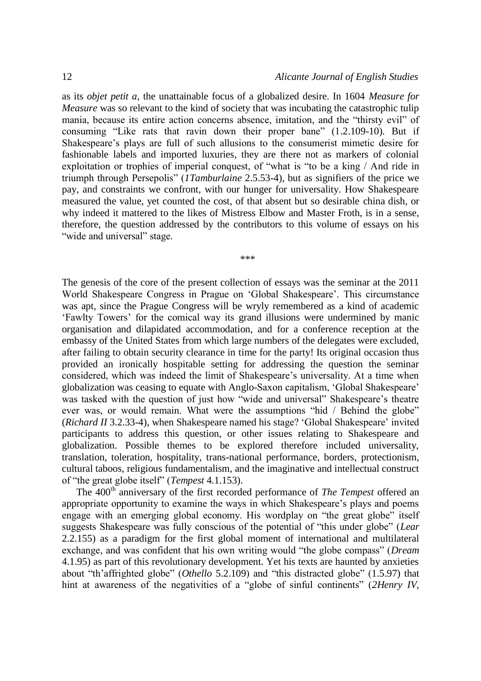as its *objet petit a*, the unattainable focus of a globalized desire. In 1604 *Measure for Measure* was so relevant to the kind of society that was incubating the catastrophic tulip mania, because its entire action concerns absence, imitation, and the "thirsty evil" of consuming "Like rats that ravin down their proper bane" (1.2.109-10). But if Shakespeare's plays are full of such allusions to the consumerist mimetic desire for fashionable labels and imported luxuries, they are there not as markers of colonial exploitation or trophies of imperial conquest, of "what is "to be a king / And ride in triumph through Persepolis" (*1Tamburlaine* 2.5.53-4), but as signifiers of the price we pay, and constraints we confront, with our hunger for universality. How Shakespeare measured the value, yet counted the cost, of that absent but so desirable china dish, or why indeed it mattered to the likes of Mistress Elbow and Master Froth, is in a sense, therefore, the question addressed by the contributors to this volume of essays on his "wide and universal" stage.

\*\*\*

The genesis of the core of the present collection of essays was the seminar at the 2011 World Shakespeare Congress in Prague on 'Global Shakespeare'. This circumstance was apt, since the Prague Congress will be wryly remembered as a kind of academic 'Fawlty Towers' for the comical way its grand illusions were undermined by manic organisation and dilapidated accommodation, and for a conference reception at the embassy of the United States from which large numbers of the delegates were excluded, after failing to obtain security clearance in time for the party! Its original occasion thus provided an ironically hospitable setting for addressing the question the seminar considered, which was indeed the limit of Shakespeare's universality. At a time when globalization was ceasing to equate with Anglo-Saxon capitalism, 'Global Shakespeare' was tasked with the question of just how "wide and universal" Shakespeare's theatre ever was, or would remain. What were the assumptions "hid / Behind the globe" (*Richard II* 3.2.33-4), when Shakespeare named his stage? 'Global Shakespeare' invited participants to address this question, or other issues relating to Shakespeare and globalization. Possible themes to be explored therefore included universality, translation, toleration, hospitality, trans-national performance, borders, protectionism, cultural taboos, religious fundamentalism, and the imaginative and intellectual construct of "the great globe itself" (*Tempest* 4.1.153).

The 400<sup>th</sup> anniversary of the first recorded performance of *The Tempest* offered an appropriate opportunity to examine the ways in which Shakespeare's plays and poems engage with an emerging global economy. His wordplay on "the great globe" itself suggests Shakespeare was fully conscious of the potential of "this under globe" (*Lear* 2.2.155) as a paradigm for the first global moment of international and multilateral exchange, and was confident that his own writing would "the globe compass" (*Dream* 4.1.95) as part of this revolutionary development. Yet his texts are haunted by anxieties about "th'affrighted globe" (*Othello* 5.2.109) and "this distracted globe" (1.5.97) that hint at awareness of the negativities of a "globe of sinful continents" (*2Henry IV,*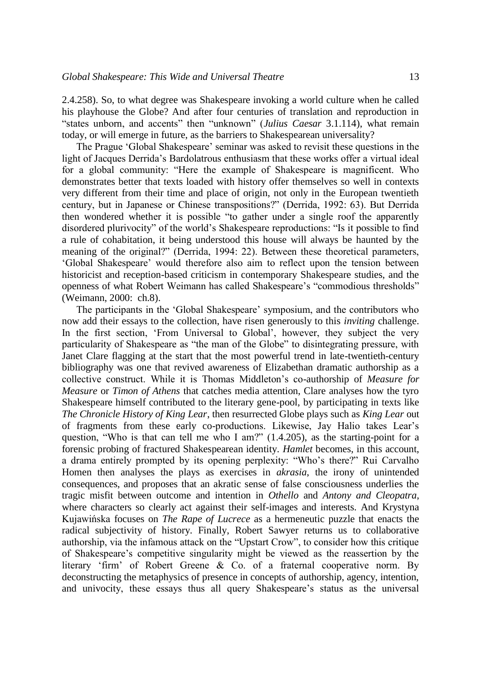2.4.258). So, to what degree was Shakespeare invoking a world culture when he called his playhouse the Globe? And after four centuries of translation and reproduction in "states unborn, and accents" then "unknown" (*Julius Caesar* 3.1.114), what remain today, or will emerge in future, as the barriers to Shakespearean universality?

The Prague 'Global Shakespeare' seminar was asked to revisit these questions in the light of Jacques Derrida's Bardolatrous enthusiasm that these works offer a virtual ideal for a global community: "Here the example of Shakespeare is magnificent. Who demonstrates better that texts loaded with history offer themselves so well in contexts very different from their time and place of origin, not only in the European twentieth century, but in Japanese or Chinese transpositions?" (Derrida, 1992: 63). But Derrida then wondered whether it is possible "to gather under a single roof the apparently disordered plurivocity" of the world's Shakespeare reproductions: "Is it possible to find a rule of cohabitation, it being understood this house will always be haunted by the meaning of the original?" (Derrida, 1994: 22). Between these theoretical parameters, 'Global Shakespeare' would therefore also aim to reflect upon the tension between historicist and reception-based criticism in contemporary Shakespeare studies, and the openness of what Robert Weimann has called Shakespeare's "commodious thresholds" (Weimann, 2000: ch.8).

The participants in the 'Global Shakespeare' symposium, and the contributors who now add their essays to the collection, have risen generously to this *inviting* challenge. In the first section, 'From Universal to Global', however, they subject the very particularity of Shakespeare as "the man of the Globe" to disintegrating pressure, with Janet Clare flagging at the start that the most powerful trend in late-twentieth-century bibliography was one that revived awareness of Elizabethan dramatic authorship as a collective construct. While it is Thomas Middleton's co-authorship of *Measure for Measure* or *Timon of Athens* that catches media attention, Clare analyses how the tyro Shakespeare himself contributed to the literary gene-pool, by participating in texts like *The Chronicle History of King Lear*, then resurrected Globe plays such as *King Lear* out of fragments from these early co-productions. Likewise, Jay Halio takes Lear's question, "Who is that can tell me who I am?" (1.4.205), as the starting-point for a forensic probing of fractured Shakespearean identity. *Hamlet* becomes, in this account, a drama entirely prompted by its opening perplexity: "Who's there?" Rui Carvalho Homen then analyses the plays as exercises in *akrasia*, the irony of unintended consequences, and proposes that an akratic sense of false consciousness underlies the tragic misfit between outcome and intention in *Othello* and *Antony and Cleopatra*, where characters so clearly act against their self-images and interests. And Krystyna Kujawińska focuses on *The Rape of Lucrece* as a hermeneutic puzzle that enacts the radical subjectivity of history. Finally, Robert Sawyer returns us to collaborative authorship, via the infamous attack on the "Upstart Crow", to consider how this critique of Shakespeare's competitive singularity might be viewed as the reassertion by the literary 'firm' of Robert Greene & Co. of a fraternal cooperative norm. By deconstructing the metaphysics of presence in concepts of authorship, agency, intention, and univocity, these essays thus all query Shakespeare's status as the universal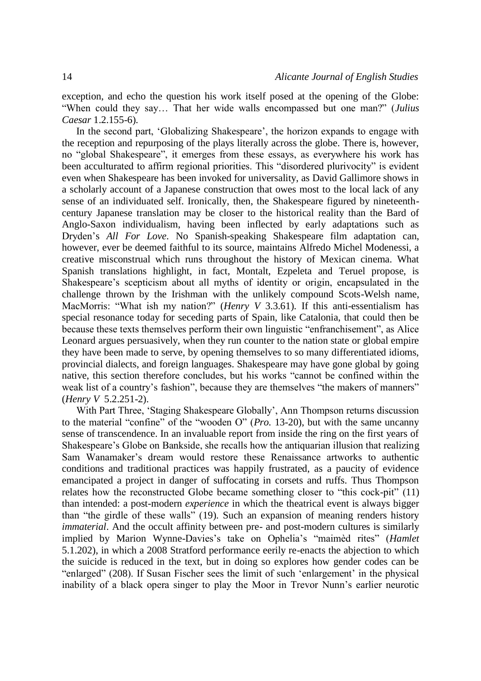exception, and echo the question his work itself posed at the opening of the Globe: "When could they say… That her wide walls encompassed but one man?" (*Julius Caesar* 1.2.155-6).

In the second part, 'Globalizing Shakespeare', the horizon expands to engage with the reception and repurposing of the plays literally across the globe. There is, however, no "global Shakespeare", it emerges from these essays, as everywhere his work has been acculturated to affirm regional priorities. This "disordered plurivocity" is evident even when Shakespeare has been invoked for universality, as David Gallimore shows in a scholarly account of a Japanese construction that owes most to the local lack of any sense of an individuated self. Ironically, then, the Shakespeare figured by nineteenthcentury Japanese translation may be closer to the historical reality than the Bard of Anglo-Saxon individualism, having been inflected by early adaptations such as Dryden's *All For Love*. No Spanish-speaking Shakespeare film adaptation can, however, ever be deemed faithful to its source, maintains Alfredo Michel Modenessi, a creative misconstrual which runs throughout the history of Mexican cinema. What Spanish translations highlight, in fact, Montalt, Ezpeleta and Teruel propose, is Shakespeare's scepticism about all myths of identity or origin, encapsulated in the challenge thrown by the Irishman with the unlikely compound Scots-Welsh name, MacMorris: "What ish my nation?" (*Henry V* 3.3.61). If this anti-essentialism has special resonance today for seceding parts of Spain, like Catalonia, that could then be because these texts themselves perform their own linguistic "enfranchisement", as Alice Leonard argues persuasively, when they run counter to the nation state or global empire they have been made to serve, by opening themselves to so many differentiated idioms, provincial dialects, and foreign languages. Shakespeare may have gone global by going native, this section therefore concludes, but his works "cannot be confined within the weak list of a country's fashion", because they are themselves "the makers of manners" (*Henry V* 5.2.251-2).

With Part Three, 'Staging Shakespeare Globally', Ann Thompson returns discussion to the material "confine" of the "wooden O" (*Pro.* 13-20), but with the same uncanny sense of transcendence. In an invaluable report from inside the ring on the first years of Shakespeare's Globe on Bankside, she recalls how the antiquarian illusion that realizing Sam Wanamaker's dream would restore these Renaissance artworks to authentic conditions and traditional practices was happily frustrated, as a paucity of evidence emancipated a project in danger of suffocating in corsets and ruffs. Thus Thompson relates how the reconstructed Globe became something closer to "this cock-pit" (11) than intended: a post-modern *experience* in which the theatrical event is always bigger than "the girdle of these walls" (19). Such an expansion of meaning renders history *immaterial*. And the occult affinity between pre- and post-modern cultures is similarly implied by Marion Wynne-Davies's take on Ophelia's "maimèd rites" (*Hamlet* 5.1.202), in which a 2008 Stratford performance eerily re-enacts the abjection to which the suicide is reduced in the text, but in doing so explores how gender codes can be "enlarged" (208). If Susan Fischer sees the limit of such 'enlargement' in the physical inability of a black opera singer to play the Moor in Trevor Nunn's earlier neurotic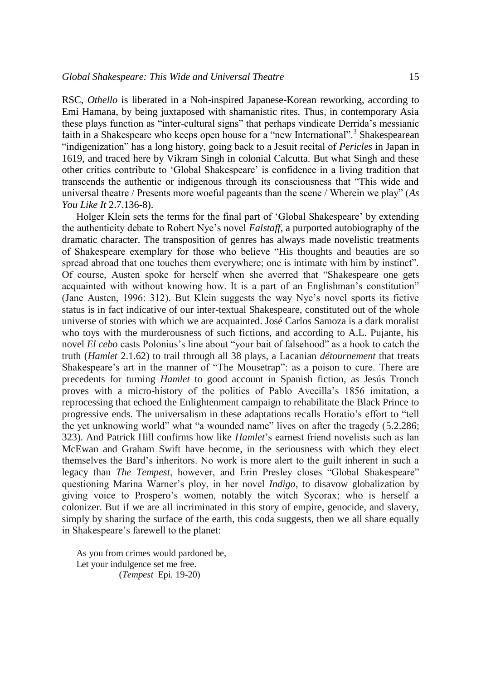RSC, *Othello* is liberated in a Noh-inspired Japanese-Korean reworking, according to Emi Hamana, by being juxtaposed with shamanistic rites. Thus, in contemporary Asia these plays function as "inter-cultural signs" that perhaps vindicate Derrida's messianic faith in a Shakespeare who keeps open house for a "new International".<sup>3</sup> Shakespearean "indigenization" has a long history, going back to a Jesuit recital of *Pericles* in Japan in 1619, and traced here by Vikram Singh in colonial Calcutta. But what Singh and these other critics contribute to 'Global Shakespeare' is confidence in a living tradition that transcends the authentic or indigenous through its consciousness that "This wide and universal theatre / Presents more woeful pageants than the scene / Wherein we play" (*As You Like It* 2.7.136-8).

Holger Klein sets the terms for the final part of 'Global Shakespeare' by extending the authenticity debate to Robert Nye's novel *Falstaff*, a purported autobiography of the dramatic character. The transposition of genres has always made novelistic treatments of Shakespeare exemplary for those who believe "His thoughts and beauties are so spread abroad that one touches them everywhere; one is intimate with him by instinct". Of course, Austen spoke for herself when she averred that "Shakespeare one gets acquainted with without knowing how. It is a part of an Englishman's constitution" (Jane Austen, 1996: 312). But Klein suggests the way Nye's novel sports its fictive status is in fact indicative of our inter-textual Shakespeare, constituted out of the whole universe of stories with which we are acquainted. José Carlos Samoza is a dark moralist who toys with the murderousness of such fictions, and according to A.L. Pujante, his novel *El cebo* casts Polonius's line about "your bait of falsehood" as a hook to catch the truth (*Hamlet* 2.1.62) to trail through all 38 plays, a Lacanian *détournement* that treats Shakespeare's art in the manner of "The Mousetrap": as a poison to cure. There are precedents for turning *Hamlet* to good account in Spanish fiction, as Jesús Tronch proves with a micro-history of the politics of Pablo Avecilla's 1856 imitation, a reprocessing that echoed the Enlightenment campaign to rehabilitate the Black Prince to progressive ends. The universalism in these adaptations recalls Horatio's effort to "tell the yet unknowing world" what "a wounded name" lives on after the tragedy (5.2.286; 323). And Patrick Hill confirms how like *Hamlet*'s earnest friend novelists such as Ian McEwan and Graham Swift have become, in the seriousness with which they elect themselves the Bard's inheritors. No work is more alert to the guilt inherent in such a legacy than *The Tempest*, however, and Erin Presley closes "Global Shakespeare" questioning Marina Warner's ploy, in her novel *Indigo*, to disavow globalization by giving voice to Prospero's women, notably the witch Sycorax; who is herself a colonizer. But if we are all incriminated in this story of empire, genocide, and slavery, simply by sharing the surface of the earth, this coda suggests, then we all share equally in Shakespeare's farewell to the planet:

As you from crimes would pardoned be, Let your indulgence set me free. (*Tempest* Epi. 19-20)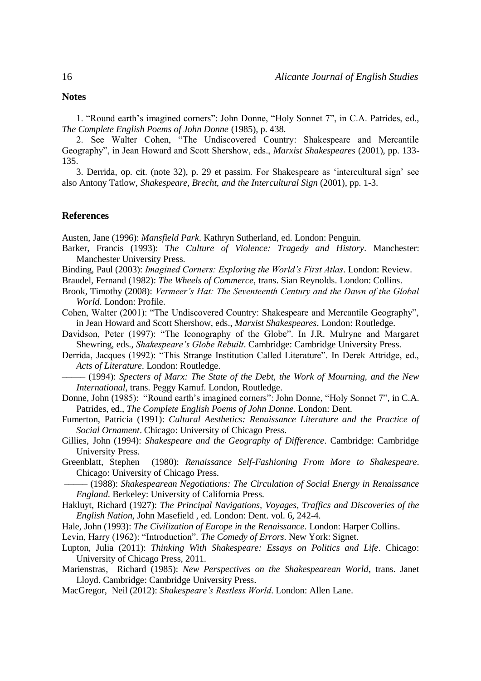## **Notes**

1. "Round earth's imagined corners": John Donne, "Holy Sonnet 7", in C.A. Patrides, ed., *The Complete English Poems of John Donne* (1985), p. 438.

2. See Walter Cohen, "The Undiscovered Country: Shakespeare and Mercantile Geography", in Jean Howard and Scott Shershow, eds., *Marxist Shakespeares* (2001), pp. 133- 135.

3. Derrida, op. cit. (note 32), p. 29 et passim. For Shakespeare as 'intercultural sign' see also Antony Tatlow, *Shakespeare, Brecht, and the Intercultural Sign* (2001), pp. 1-3.

## **References**

Austen, Jane (1996): *Mansfield Park*. Kathryn Sutherland, ed. London: Penguin.

- Barker, Francis (1993): *The Culture of Violence: Tragedy and History*. Manchester: Manchester University Press.
- Binding, Paul (2003): *Imagined Corners: Exploring the World's First Atlas*. London: Review.

Braudel, Fernand (1982): *The Wheels of Commerce*, trans. Sian Reynolds. London: Collins.

- Brook, Timothy (2008): *Vermeer's Hat: The Seventeenth Century and the Dawn of the Global World*. London: Profile.
- Cohen, Walter (2001): "The Undiscovered Country: Shakespeare and Mercantile Geography", in Jean Howard and Scott Shershow, eds., *Marxist Shakespeares*. London: Routledge.
- Davidson, Peter (1997): "The Iconography of the Globe". In J.R. Mulryne and Margaret Shewring, eds., *Shakespeare's Globe Rebuilt*. Cambridge: Cambridge University Press.
- Derrida, Jacques (1992): "This Strange Institution Called Literature". In Derek Attridge, ed., *Acts of Literature*. London: Routledge.
- ––––– (1994): *Specters of Marx: The State of the Debt, the Work of Mourning, and the New International*, trans. Peggy Kamuf. London, Routledge.
- Donne, John (1985): "Round earth's imagined corners": John Donne, "Holy Sonnet 7", in C.A. Patrides, ed., *The Complete English Poems of John Donne*. London: Dent.
- Fumerton, Patricia (1991): *Cultural Aesthetics: Renaissance Literature and the Practice of Social Ornament*. Chicago: University of Chicago Press.
- Gillies, John (1994): *Shakespeare and the Geography of Difference*. Cambridge: Cambridge University Press.
- Greenblatt, Stephen (1980): *Renaissance Self-Fashioning From More to Shakespeare*. Chicago: University of Chicago Press.
- ––––– (1988): *Shakespearean Negotiations: The Circulation of Social Energy in Renaissance England*. Berkeley: University of California Press.
- Hakluyt, Richard (1927): *The Principal Navigations, Voyages, Traffics and Discoveries of the English Nation*, John Masefield , ed. London: Dent. vol. 6, 242-4.
- Hale, John (1993): *The Civilization of Europe in the Renaissance*. London: Harper Collins.
- Levin, Harry (1962): "Introduction". *The Comedy of Errors*. New York: Signet.
- Lupton, Julia (2011): *Thinking With Shakespeare: Essays on Politics and Life*. Chicago: University of Chicago Press, 2011.
- Marienstras, Richard (1985): *New Perspectives on the Shakespearean World*, trans. Janet Lloyd. Cambridge: Cambridge University Press.
- MacGregor, Neil (2012): *Shakespeare's Restless World*. London: Allen Lane.